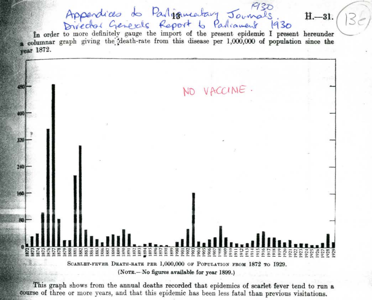Appendices de Partiqueataire Journals H. -31.<br>Director Generals Report to Parliament 1930<br>In order to more definitely gauge the import of the present epidemic I present hereunder columnar graph giving the death-rate from this disease per 1,000,000 of population since the **rear** 1872.



This graph shows from the annual deaths recorded that epidemics of scarlet fever tend to run a course of three or more years, and that this epidemic has been less fatal than previous visitations.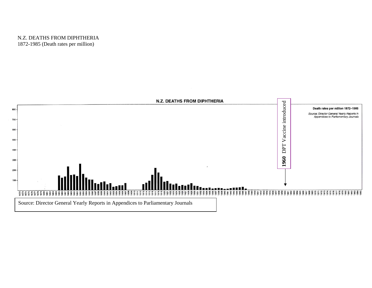## N.Z. DEATHS FROM DIPHTHERIA 1872-1985 (Death rates per million)

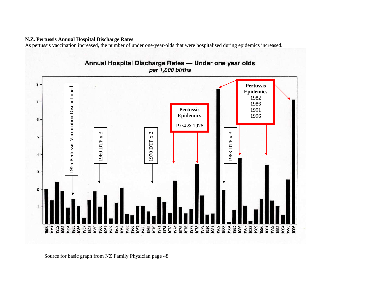## **N.Z. Pertussis Annual Hospital Discharge Rates**

As pertussis vaccination increased, the number of under one-year-olds that were hospitalised during epidemics increased.



Source for basic graph from NZ Family Physician page 48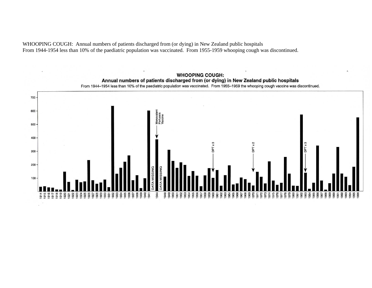WHOOPING COUGH: Annual numbers of patients discharged from (or dying) in New Zealand public hospitals From 1944-1954 less than 10% of the paediatric population was vaccinated. From 1955-1959 whooping cough was discontinued.

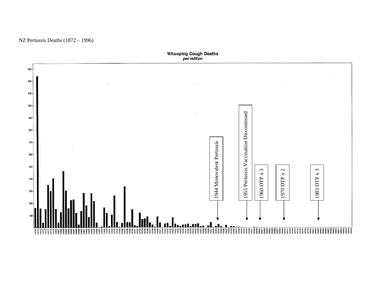

NZ Pertussis Deaths (1872 – 1996)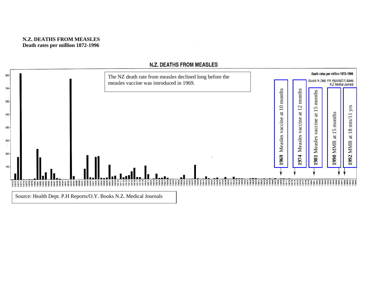

## **N.Z. DEATHS FROM MEASLES**